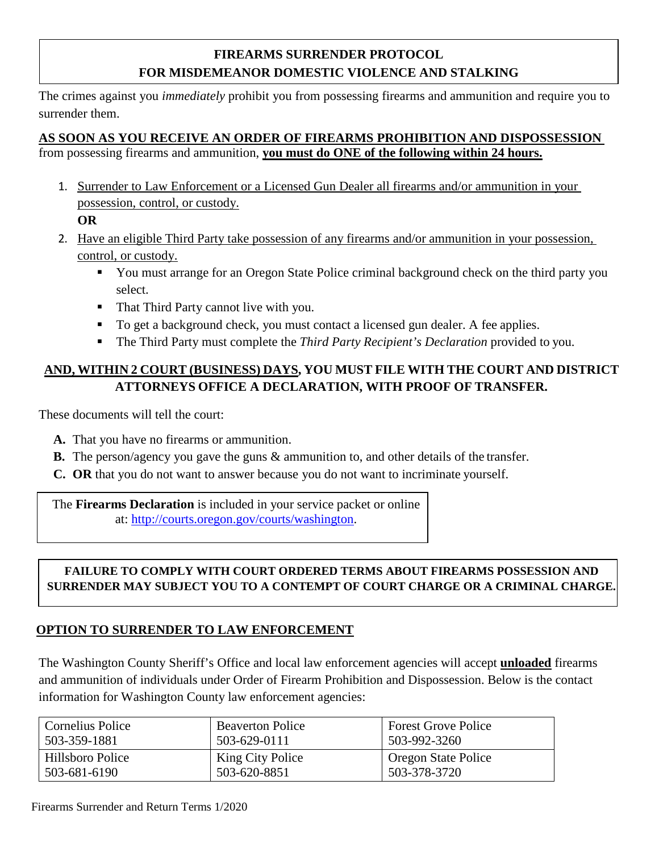### **FIREARMS SURRENDER PROTOCOL FOR MISDEMEANOR DOMESTIC VIOLENCE AND STALKING**

The crimes against you *immediately* prohibit you from possessing firearms and ammunition and require you to surrender them.

# **AS SOON AS YOU RECEIVE AN ORDER OF FIREARMS PROHIBITION AND DISPOSSESSION**

from possessing firearms and ammunition, **you must do ONE of the following within 24 hours.**

1. Surrender to Law Enforcement or a Licensed Gun Dealer all firearms and/or ammunition in your possession, control, or custody.

**OR**

- 2. Have an eligible Third Party take possession of any firearms and/or ammunition in your possession, control, or custody.
	- You must arrange for an Oregon State Police criminal background check on the third party you select.
	- That Third Party cannot live with you.
	- To get a background check, you must contact a licensed gun dealer. A fee applies.
	- The Third Party must complete the *Third Party Recipient's Declaration* provided to you.

#### **AND, WITHIN 2 COURT (BUSINESS) DAYS, YOU MUST FILE WITH THE COURT AND DISTRICT ATTORNEYS OFFICE A DECLARATION, WITH PROOF OF TRANSFER.**

These documents will tell the court:

- **A.** That you have no firearms or ammunition.
- **B.** The person/agency you gave the guns & ammunition to, and other details of the transfer.
- **C. OR** that you do not want to answer because you do not want to incriminate yourself.

The **Firearms Declaration** is included in your service packet or online at: [http://courts.oregon.gov/courts/washington.](http://courts.oregon.gov/courts/washington)

#### **FAILURE TO COMPLY WITH COURT ORDERED TERMS ABOUT FIREARMS POSSESSION AND SURRENDER MAY SUBJECT YOU TO A CONTEMPT OF COURT CHARGE OR A CRIMINAL CHARGE.**

## **OPTION TO SURRENDER TO LAW ENFORCEMENT**

The Washington County Sheriff's Office and local law enforcement agencies will accept **unloaded** firearms and ammunition of individuals under Order of Firearm Prohibition and Dispossession. Below is the contact information for Washington County law enforcement agencies:

| <b>Cornelius Police</b> | <b>Beaverton Police</b> | <b>Forest Grove Police</b> |
|-------------------------|-------------------------|----------------------------|
| 503-359-1881            | 503-629-0111            | 503-992-3260               |
| Hillsboro Police        | King City Police        | Oregon State Police        |
| 503-681-6190            | 503-620-8851            | 503-378-3720               |